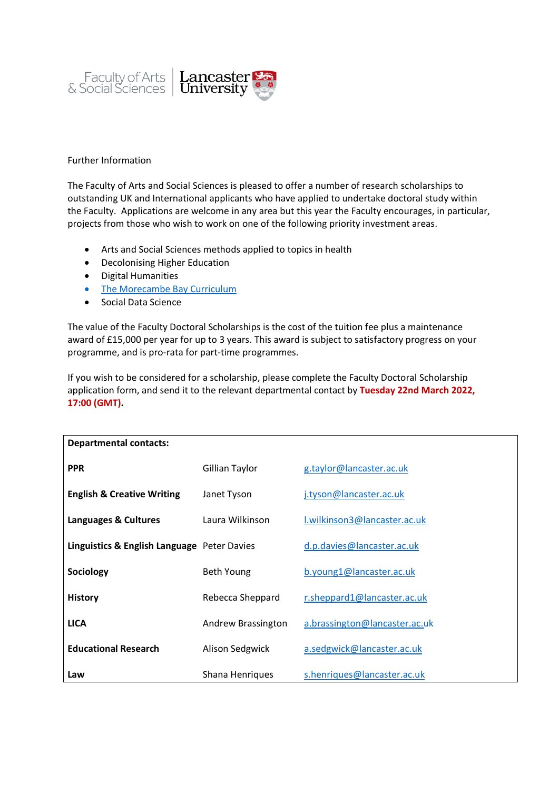

## Further Information

The Faculty of Arts and Social Sciences is pleased to offer a number of research scholarships to outstanding UK and International applicants who have applied to undertake doctoral study within the Faculty. Applications are welcome in any area but this year the Faculty encourages, in particular, projects from those who wish to work on one of the following priority investment areas.

- Arts and Social Sciences methods applied to topics in health
- Decolonising Higher Education
- Digital Humanities
- [The Morecambe Bay Curriculum](https://www.lancaster.ac.uk/arts-and-social-sciences/engagement/morecambe-bay-curriculum/)
- Social Data Science

The value of the Faculty Doctoral Scholarships is the cost of the tuition fee plus a maintenance award of £15,000 per year for up to 3 years. This award is subject to satisfactory progress on your programme, and is pro-rata for part-time programmes.

If you wish to be considered for a scholarship, please complete the Faculty Doctoral Scholarship application form, and send it to the relevant departmental contact by **Tuesday 22nd March 2022, 17:00 (GMT).**

| <b>Departmental contacts:</b>               |                    |                               |
|---------------------------------------------|--------------------|-------------------------------|
| <b>PPR</b>                                  | Gillian Taylor     | g.taylor@lancaster.ac.uk      |
| <b>English &amp; Creative Writing</b>       | Janet Tyson        | j.tyson@lancaster.ac.uk       |
| Languages & Cultures                        | Laura Wilkinson    | I.wilkinson3@lancaster.ac.uk  |
| Linguistics & English Language Peter Davies |                    | d.p.davies@lancaster.ac.uk    |
| Sociology                                   | Beth Young         | b.young1@lancaster.ac.uk      |
| <b>History</b>                              | Rebecca Sheppard   | r.sheppard1@lancaster.ac.uk   |
| <b>LICA</b>                                 | Andrew Brassington | a.brassington@lancaster.ac.uk |
| <b>Educational Research</b>                 | Alison Sedgwick    | a.sedgwick@lancaster.ac.uk    |
| Law                                         | Shana Henriques    | s.henriques@lancaster.ac.uk   |